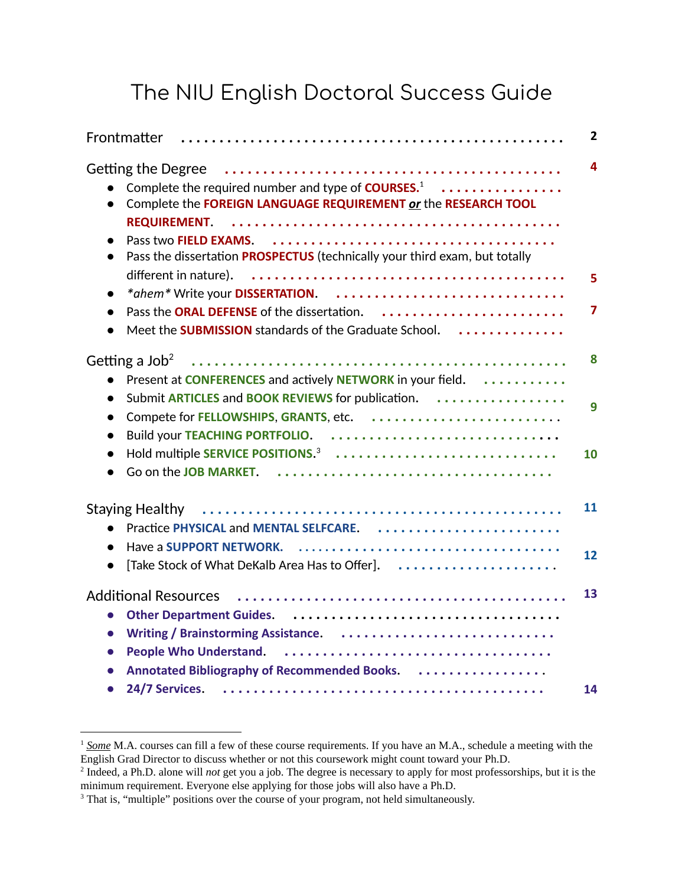### The NIU English Doctoral Success Guide

|                                                                                                                                                                                                                                                                                        | $\overline{2}$ |
|----------------------------------------------------------------------------------------------------------------------------------------------------------------------------------------------------------------------------------------------------------------------------------------|----------------|
| <b>Getting the Degree</b><br>Complete the required number and type of <b>COURSES.</b> <sup>1</sup><br>Complete the FOREIGN LANGUAGE REQUIREMENT or the RESEARCH TOOL<br><b>REQUIREMENT.</b><br>$\bullet$<br>Pass the dissertation PROSPECTUS (technically your third exam, but totally | 4              |
| different in nature).<br>*ahem* Write your DISSERTATION.<br>$\bullet$                                                                                                                                                                                                                  | 5              |
| Meet the <b>SUBMISSION</b> standards of the Graduate School.<br>$\bullet$                                                                                                                                                                                                              | 7              |
|                                                                                                                                                                                                                                                                                        | 8              |
| Present at CONFERENCES and actively NETWORK in your field.<br>Submit ARTICLES and BOOK REVIEWS for publication.<br>$\bullet$<br>Compete for FELLOWSHIPS, GRANTS, etc.<br>$\bullet$<br>Build your TEACHING PORTFOLIO.<br>$\bullet$                                                      | 9              |
| Hold multiple SERVICE POSITIONS. <sup>3</sup><br>$\bullet$                                                                                                                                                                                                                             | 10             |
| <b>Staying Healthy</b><br>Practice PHYSICAL and MENTAL SELFCARE.<br>$\bullet$                                                                                                                                                                                                          | 11             |
| [Take Stock of What DeKalb Area Has to Offer].<br>$\bullet$                                                                                                                                                                                                                            | 12             |
| $\bullet$<br>$\bullet$<br>$\bullet$<br>Annotated Bibliography of Recommended Books.                                                                                                                                                                                                    | 13             |
| 24/7 Services.                                                                                                                                                                                                                                                                         | 14             |

<sup>&</sup>lt;sup>1</sup> Some M.A. courses can fill a few of these course requirements. If you have an M.A., schedule a meeting with the English Grad Director to discuss whether or not this coursework might count toward your Ph.D.

<sup>2</sup> Indeed, a Ph.D. alone will *not* get you a job. The degree is necessary to apply for most professorships, but it is the minimum requirement. Everyone else applying for those jobs will also have a Ph.D.

<sup>&</sup>lt;sup>3</sup> That is, "multiple" positions over the course of your program, not held simultaneously.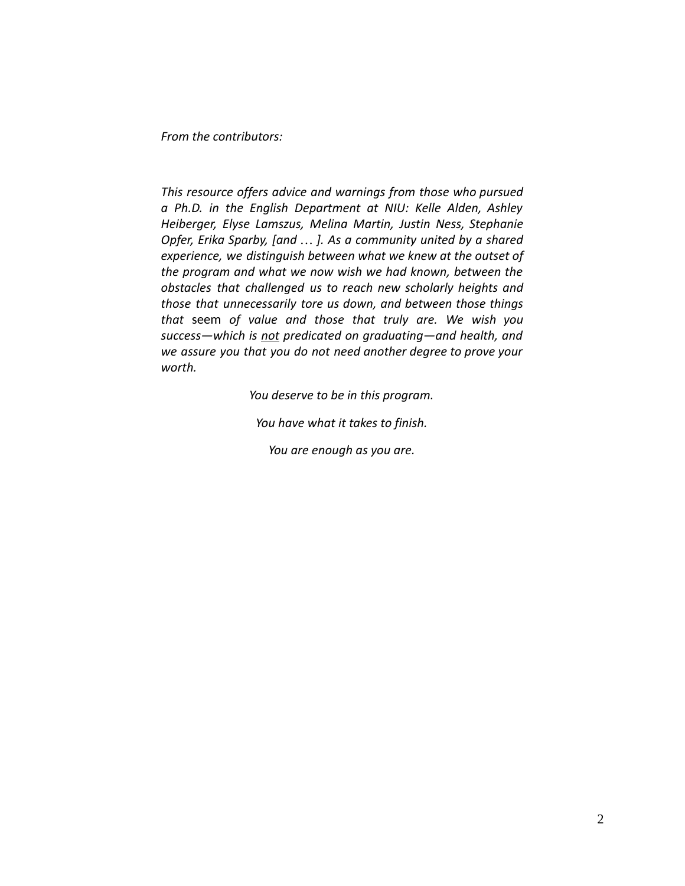*From the contributors:*

*This resource offers advice and warnings from those who pursued a Ph.D. in the English Department at NIU: Kelle Alden, Ashley Heiberger, Elyse Lamszus, Melina Martin, Justin Ness, Stephanie Opfer, Erika Sparby, [and … ]. As a community united by a shared experience, we distinguish between what we knew at the outset of the program and what we now wish we had known, between the obstacles that challenged us to reach new scholarly heights and those that unnecessarily tore us down, and between those things that* seem *of value and those that truly are. We wish you success—which is not predicated on graduating—and health, and we assure you that you do not need another degree to prove your worth.*

*You deserve to be in this program.*

*You have what it takes to finish.*

*You are enough as you are.*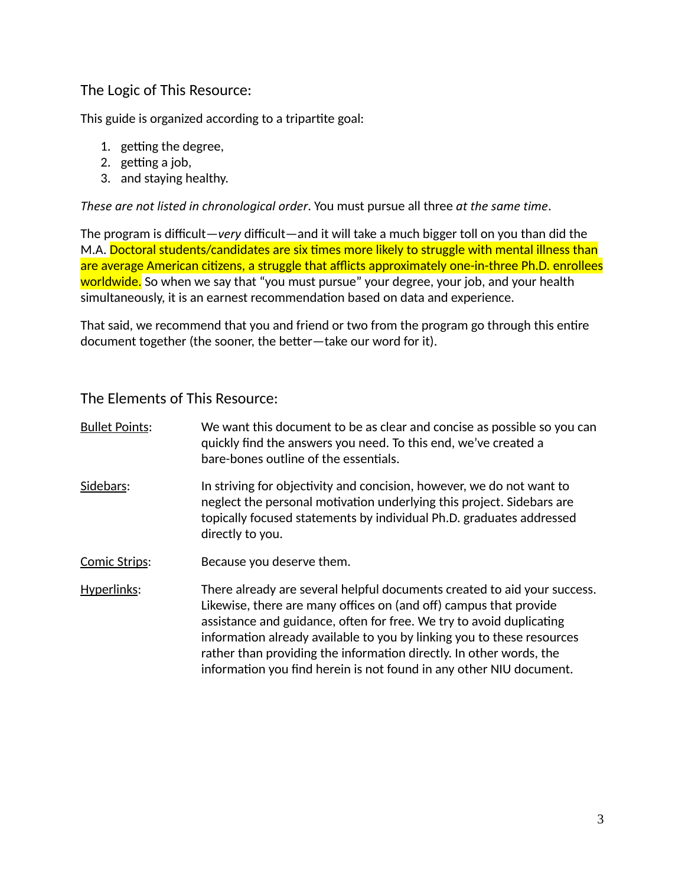#### The Logic of This Resource:

This guide is organized according to a tripartite goal:

- 1. getting the degree,
- 2. getting a job,
- 3. and staying healthy.

*These are not listed in chronological order* . You must pursue all three *at the same time* .

The program is difficult— *very* difficult—and it will take a much bigger toll on you than did the M.A. Doctoral students/candidates are six times more likely to struggle with mental illness than are average American citizens, a struggle that afflicts approximately one-in-three Ph.D. enrollees worldwide. So when we say that "you must pursue" your degree, your job, and your health simultaneously, it is an earnest recommendation based on data and experience.

That said, we recommend that you and friend or two from the program go through this entire document together (the sooner, the better-take our word for it).

The Elements of This Resource:

| <b>Bullet Points:</b> | We want this document to be as clear and concise as possible so you can<br>quickly find the answers you need. To this end, we've created a<br>bare-bones outline of the essentials.                                                                                                                                                                                                                                                           |
|-----------------------|-----------------------------------------------------------------------------------------------------------------------------------------------------------------------------------------------------------------------------------------------------------------------------------------------------------------------------------------------------------------------------------------------------------------------------------------------|
| Sidebars:             | In striving for objectivity and concision, however, we do not want to<br>neglect the personal motivation underlying this project. Sidebars are<br>topically focused statements by individual Ph.D. graduates addressed<br>directly to you.                                                                                                                                                                                                    |
| Comic Strips:         | Because you deserve them.                                                                                                                                                                                                                                                                                                                                                                                                                     |
| Hyperlinks:           | There already are several helpful documents created to aid your success.<br>Likewise, there are many offices on (and off) campus that provide<br>assistance and guidance, often for free. We try to avoid duplicating<br>information already available to you by linking you to these resources<br>rather than providing the information directly. In other words, the<br>information you find herein is not found in any other NIU document. |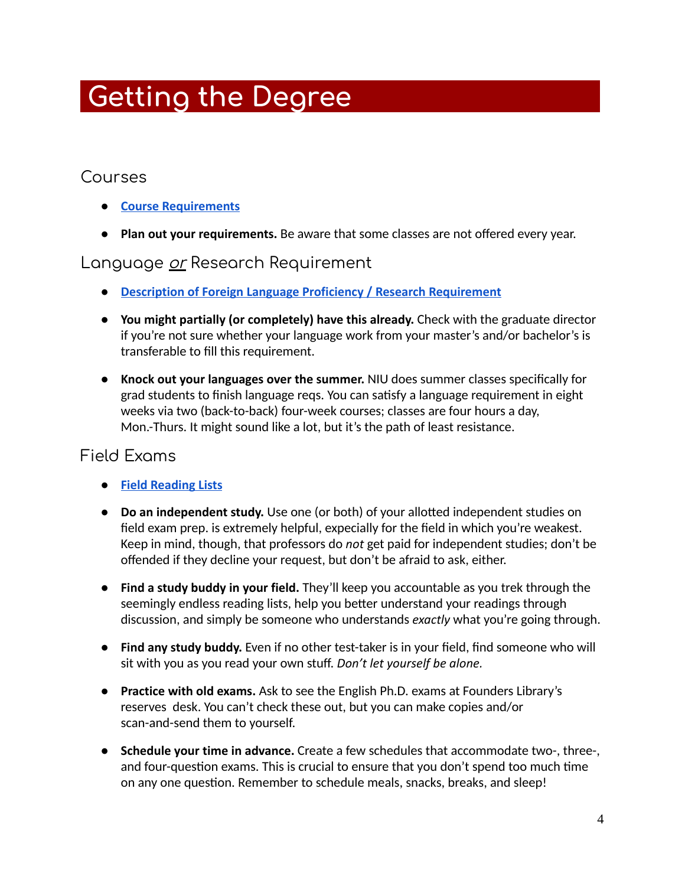# **. Getting the Degree ………………………**

#### Courses

- **● [Course Requirements](http://catalog.niu.edu/preview_program.php?catoid=46&poid=10460)**
- **Plan out your requirements.** Be aware that some classes are not offered every year.

#### Language <u>or</u> Research Requirement

- **[Description of Foreign Language Proficiency / Research Requirement](https://www.engl.niu.edu/academics/graduate/ma-program/lang.shtml)**
- **You might partially (or completely) have this already.** Check with the graduate director if you're not sure whether your language work from your master's and/or bachelor's is transferable to fill this requirement.
- **Knock out your languages over the summer.** NIU does summer classes specifically for grad students to finish language regs. You can satisfy a language requirement in eight weeks via two (back-to-back) four-week courses; classes are four hours a day, Mon.-Thurs. It might sound like a lot, but it's the path of least resistance.

#### Field Exams

- **[Field Reading Lists](https://www.engl.niu.edu/academics/graduate/phd-program/exams.shtml)**
- **Do an independent study.** Use one (or both) of your allotted independent studies on field exam prep. is extremely helpful, expecially for the field in which you're weakest. Keep in mind, though, that professors do *not* get paid for independent studies; don't be offended if they decline your request, but don't be afraid to ask, either.
- **Find a study buddy in your field.** They'll keep you accountable as you trek through the seemingly endless reading lists, help you better understand your readings through discussion, and simply be someone who understands *exactly* what you're going through.
- **Find any study buddy.** Even if no other test-taker is in your field, find someone who will sit with you as you read your own stuff. *Don't let yourself be alone.*
- **Practice with old exams.** Ask to see the English Ph.D. exams at Founders Library's reserves desk. You can't check these out, but you can make copies and/or scan-and-send them to yourself.
- **Schedule your time in advance.** Create a few schedules that accommodate two-, three-, and four-question exams. This is crucial to ensure that you don't spend too much time on any one question. Remember to schedule meals, snacks, breaks, and sleep!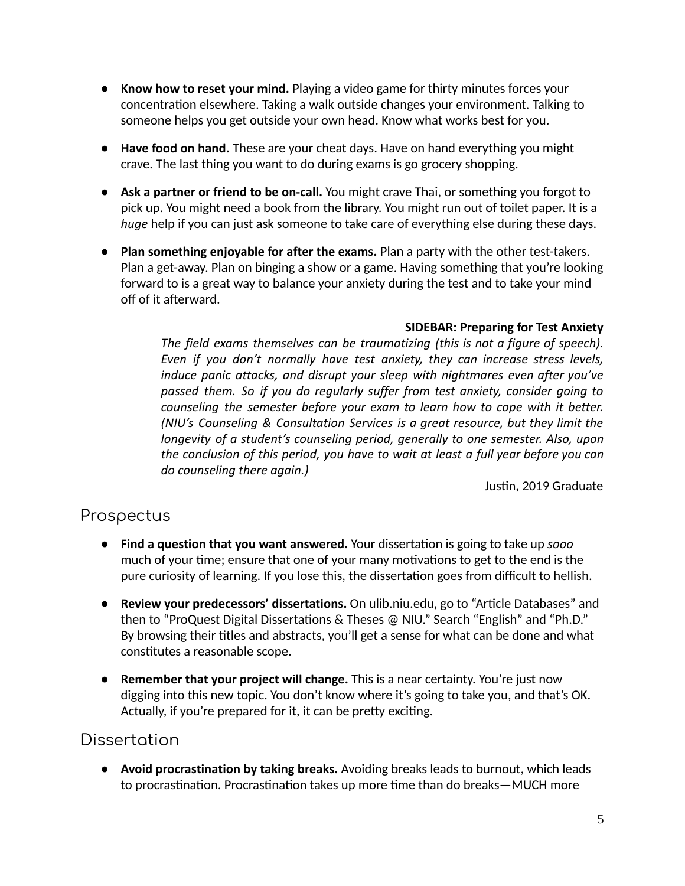- **Know how to reset your mind.** Playing a video game for thirty minutes forces your concentration elsewhere. Taking a walk outside changes your environment. Talking to someone helps you get outside your own head. Know what works best for you.
- **Have food on hand.** These are your cheat days. Have on hand everything you might crave. The last thing you want to do during exams is go grocery shopping.
- **Ask a partner or friend to be on-call.** You might crave Thai, or something you forgot to pick up. You might need a book from the library. You might run out of toilet paper. It is a *huge* help if you can just ask someone to take care of everything else during these days.
- **Plan something enjoyable for after the exams.** Plan a party with the other test-takers. Plan a get-away. Plan on binging a show or a game. Having something that you're looking forward to is a great way to balance your anxiety during the test and to take your mind off of it afterward.

#### **SIDEBAR: Preparing for Test Anxiety**

*The field exams themselves can be traumatizing (this is not a figure of speech). Even if you don't normally have test anxiety, they can increase stress levels, induce panic attacks, and disrupt your sleep with nightmares even after you've passed them. So if you do regularly suffer from test anxiety, consider going to counseling the semester before your exam to learn how to cope with it better. (NIU's Counseling & Consultation Services is a great resource, but they limit the longevity of a student's counseling period, generally to one semester. Also, upon the conclusion of this period, you have to wait at least a full year before you can do counseling there again.)*

Justin, 2019 Graduate

#### Prospectus

- Find a question that you want answered. Your dissertation is going to take up *sooo* much of your time; ensure that one of your many motivations to get to the end is the pure curiosity of learning. If you lose this, the dissertation goes from difficult to hellish.
- **Review your predecessors' dissertations.** On ulib.niu.edu, go to "Article Databases" and then to "ProQuest Digital Dissertations & Theses @ NIU." Search "English" and "Ph.D." By browsing their titles and abstracts, you'll get a sense for what can be done and what constitutes a reasonable scope.
- **Remember that your project will change.** This is a near certainty. You're just now digging into this new topic. You don't know where it's going to take you, and that's OK. Actually, if you're prepared for it, it can be pretty exciting.

#### **Dissertation**

● **Avoid procrastination by taking breaks.** Avoiding breaks leads to burnout, which leads to procrastination. Procrastination takes up more time than do breaks—MUCH more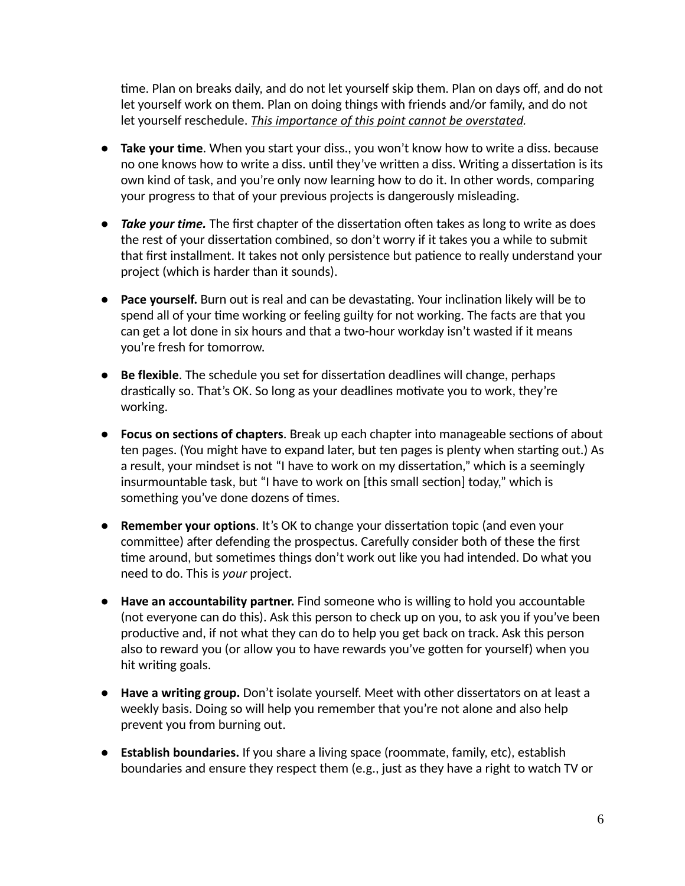me. Plan on breaks daily, and do not let yourself skip them. Plan on days off, and do not let yourself work on them. Plan on doing things with friends and/or family, and do not let yourself reschedule. *This importance of this point cannot be overstated .*

- **Take your time**. When you start your diss., you won't know how to write a diss. because no one knows how to write a diss. until they've written a diss. Writing a dissertation is its own kind of task, and you're only now learning how to do it. In other words, comparing your progress to that of your previous projects is dangerously misleading.
- *Take your time.* The first chapter of the dissertation often takes as long to write as does the rest of your dissertation combined, so don't worry if it takes you a while to submit that first installment. It takes not only persistence but patience to really understand your project (which is harder than it sounds).
- **Pace yourself.** Burn out is real and can be devastating. Your inclination likely will be to spend all of your time working or feeling guilty for not working. The facts are that you can get a lot done in six hours and that a two-hour workday isn't wasted if it means you're fresh for tomorrow.
- **Be flexible**. The schedule you set for dissertation deadlines will change, perhaps drastically so. That's OK. So long as your deadlines motivate you to work, they're working.
- **Focus on sections of chapters**. Break up each chapter into manageable sections of about ten pages. (You might have to expand later, but ten pages is plenty when starting out.) As a result, your mindset is not "I have to work on my dissertation," which is a seemingly insurmountable task, but "I have to work on [this small section] today," which is something you've done dozens of times.
- **Remember your options.** It's OK to change your dissertation topic (and even your committee) after defending the prospectus. Carefully consider both of these the first time around, but sometimes things don't work out like you had intended. Do what you need to do. This is *your* project.
- **Have an accountability partner.** Find someone who is willing to hold you accountable (not everyone can do this). Ask this person to check up on you, to ask you if you've been productive and, if not what they can do to help you get back on track. Ask this person also to reward you (or allow you to have rewards you've gotten for yourself) when you hit writing goals.
- **Have a writing group.** Don't isolate yourself. Meet with other dissertators on at least a weekly basis. Doing so will help you remember that you're not alone and also help prevent you from burning out.
- **Establish boundaries.** If you share a living space (roommate, family, etc), establish boundaries and ensure they respect them (e.g., just as they have a right to watch TV or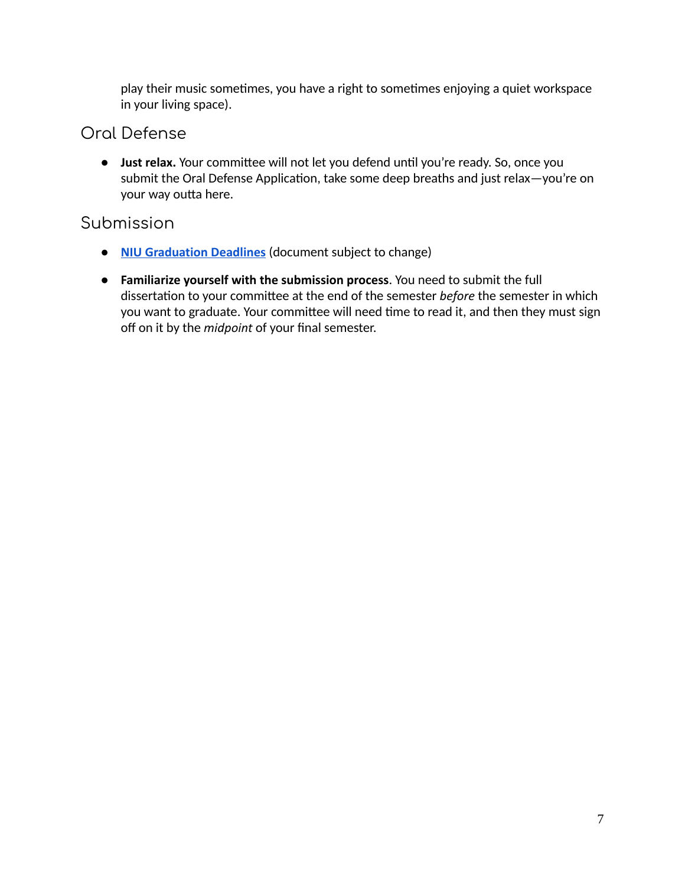play their music sometimes, you have a right to sometimes enjoying a quiet workspace in your living space).

#### Oral Defense

• Just relax. Your committee will not let you defend until you're ready. So, once you submit the Oral Defense Application, take some deep breaths and just relax-you're on your way outta here.

#### Submission

- **[NIU Graduation Deadlines](https://www.niu.edu/grad/_pdf/graduation-deadlines.pdf)** (document subject to change)
- **Familiarize yourself with the submission process** . You need to submit the full dissertation to your committee at the end of the semester *before* the semester in which you want to graduate. Your committee will need time to read it, and then they must sign off on it by the *midpoint* of your final semester.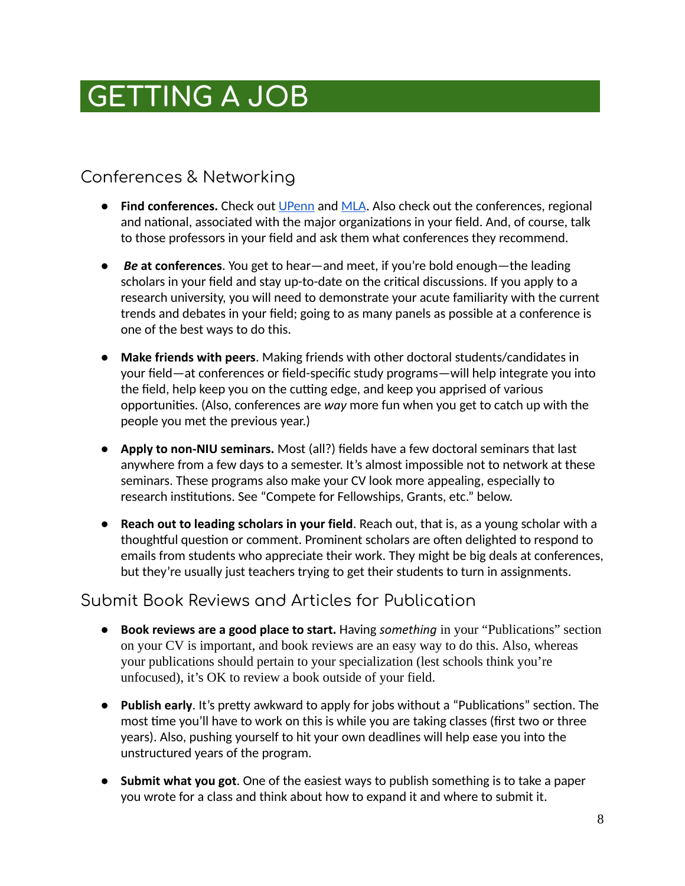# **.GETTING A JOB ………………………………………**

### Conferences & Networking

- **Find conferences.** Check out [UPenn](https://call-for-papers.sas.upenn.edu/) and MLA. Also check out the conferences, regional and national, associated with the major organizations in your field. And, of course, talk to those professors in your field and ask them what conferences they recommend.
- *Be* **at conferences**. You get to hear—and meet, if you're bold enough—the leading scholars in your field and stay up-to-date on the critical discussions. If you apply to a research university, you will need to demonstrate your acute familiarity with the current trends and debates in your field; going to as many panels as possible at a conference is one of the best ways to do this.
- **Make friends with peers** . Making friends with other doctoral students/candidates in your field—at conferences or field-specific study programs—will help integrate you into the field, help keep you on the cutting edge, and keep you apprised of various opportunities. (Also, conferences are way more fun when you get to catch up with the people you met the previous year.)
- **Apply to non-NIU seminars.** Most (all?) fields have a few doctoral seminars that last anywhere from a few days to a semester. It's almost impossible not to network at these seminars. These programs also make your CV look more appealing, especially to research institutions. See "Compete for Fellowships, Grants, etc." below.
- **Reach out to leading scholars in your field** . Reach out, that is, as a young scholar with a thoughtful question or comment. Prominent scholars are often delighted to respond to emails from students who appreciate their work. They might be big deals at conferences, but they're usually just teachers trying to get their students to turn in assignments.

#### Submit Book Reviews and Articles for Publication

- **Book reviews are a good place to start.** Having *something* in your "Publications" section on your CV is important, and book reviews are an easy way to do this. Also, whereas your publications should pertain to your specialization (lest schools think you're unfocused), it's OK to review a book outside of your field.
- Publish early. It's pretty awkward to apply for jobs without a "Publications" section. The most time you'll have to work on this is while you are taking classes (first two or three years). Also, pushing yourself to hit your own deadlines will help ease you into the unstructured years of the program.
- **Submit what you got**. One of the easiest ways to publish something is to take a paper you wrote for a class and think about how to expand it and where to submit it.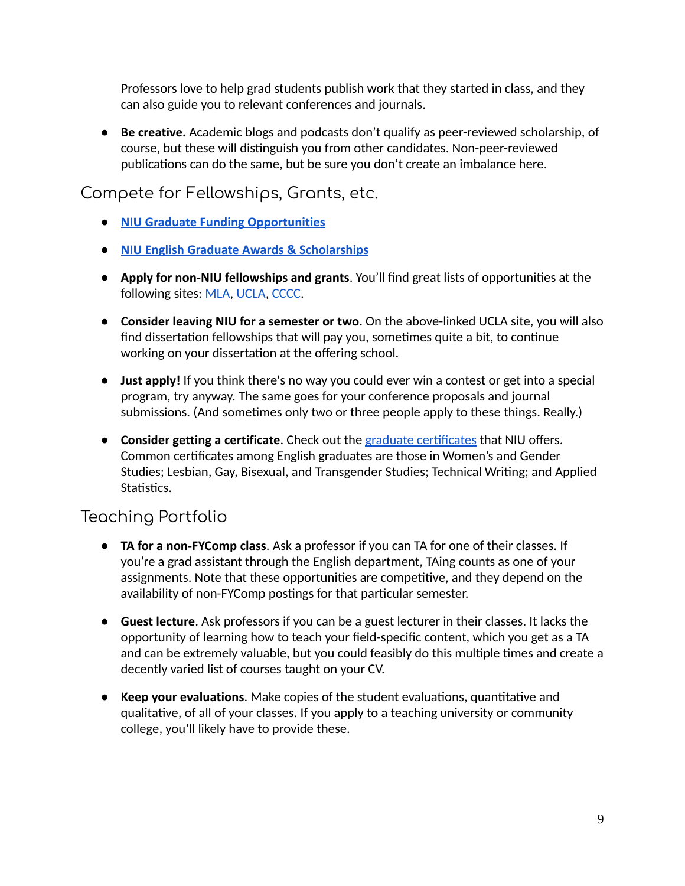Professors love to help grad students publish work that they started in class, and they can also guide you to relevant conferences and journals.

● **Be creative.** Academic blogs and podcasts don't qualify as peer-reviewed scholarship, of course, but these will distinguish you from other candidates. Non-peer-reviewed publications can do the same, but be sure you don't create an imbalance here.

#### Compete for Fellowships, Grants, etc.

- **[NIU Graduate Funding Opportunities](https://www.niu.edu/lrc/student-resources/graduate-school.shtml)**
- **[NIU English Graduate Awards & Scholarships](https://www.engl.niu.edu/resources/scholarships.shtml)**
- **Apply for non-NIU fellowships and grants.** You'll find great lists of opportunities at the following sites: MLA, UCLA, [CCCC](http://cccc.ncte.org/cccc/awards).
- **Consider leaving NIU for a semester or two** . On the above-linked UCLA site, you will also find dissertation fellowships that will pay you, sometimes quite a bit, to continue working on your dissertation at the offering school.
- **Just apply!** If you think there's no way you could ever win a contest or get into a special program, try anyway. The same goes for your conference proposals and journal submissions. (And sometimes only two or three people apply to these things. Really.)
- **Consider getting a certificate**. Check out the graduate certificates that NIU offers. Common cerficates among English graduates are those in Women's and Gender Studies; Lesbian, Gay, Bisexual, and Transgender Studies; Technical Writing; and Applied Statistics.

#### Teaching Portfolio

- **TA for a non-FYComp class.** Ask a professor if you can TA for one of their classes. If you're a grad assistant through the English department, TAing counts as one of your assignments. Note that these opportunities are competitive, and they depend on the availability of non-FYComp postings for that particular semester.
- **Guest lecture** . Ask professors if you can be a guest lecturer in their classes. It lacks the opportunity of learning how to teach your field-specific content, which you get as a TA and can be extremely valuable, but you could feasibly do this multiple times and create a decently varied list of courses taught on your CV.
- **Keep your evaluations.** Make copies of the student evaluations, quantitative and qualitative, of all of your classes. If you apply to a teaching university or community college, you'll likely have to provide these.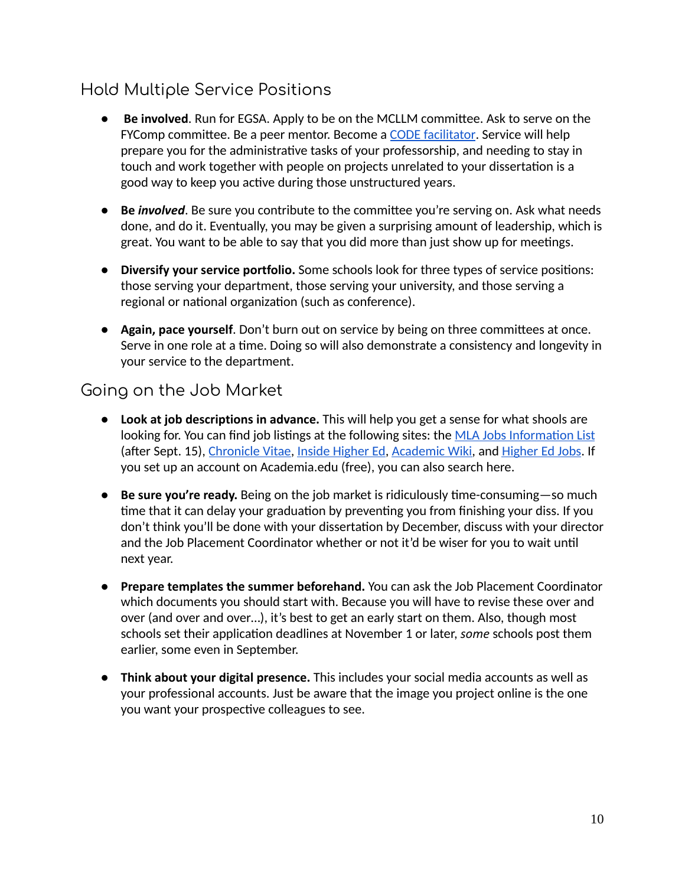### Hold Multiple Service Positions

- **Be involved**. Run for EGSA. Apply to be on the MCLLM committee. Ask to serve on the FYComp committee. Be a peer mentor. Become a [CODE facilitator](https://niu.edu/diversity/programs/education-awareness/social-justice/code-workshops.shtml). Service will help prepare you for the administrative tasks of your professorship, and needing to stay in touch and work together with people on projects unrelated to your dissertation is a good way to keep you active during those unstructured years.
- **Be** *involved*. Be sure you contribute to the committee you're serving on. Ask what needs done, and do it. Eventually, you may be given a surprising amount of leadership, which is great. You want to be able to say that you did more than just show up for meetings.
- **Diversify your service portfolio.** Some schools look for three types of service posions: those serving your department, those serving your university, and those serving a regional or national organization (such as conference).
- **Again, pace yourself.** Don't burn out on service by being on three committees at once. Serve in one role at a time. Doing so will also demonstrate a consistency and longevity in your service to the department.

#### Going on the Job Market

- **Look at job descriptions in advance.** This will help you get a sense for what shools are looking for. You can find job listings at the following sites: the MLA Jobs Information List (after Sept. 15), [Chronicle Vitae](https://chroniclevitae.com/job_search/new?cid=UCHESIDENAV2), Inside Higher Ed, [Academic Wiki](http://academicjobs.wikia.com/wiki/English_Literature_2018-2019), and Higher Ed Jobs. If you set up an account on Academia.edu (free), you can also search here.
- **Be sure you're ready.** Being on the job market is ridiculously time-consuming—so much time that it can delay your graduation by preventing you from finishing your diss. If you don't think you'll be done with your dissertation by December, discuss with your director and the Job Placement Coordinator whether or not it'd be wiser for you to wait until next year.
- **Prepare templates the summer beforehand.** You can ask the Job Placement Coordinator which documents you should start with. Because you will have to revise these over and over (and over and over…), it's best to get an early start on them. Also, though most schools set their application deadlines at November 1 or later, *some* schools post them earlier, some even in September.
- **Think about your digital presence.** This includes your social media accounts as well as your professional accounts. Just be aware that the image you project online is the one you want your prospective colleagues to see.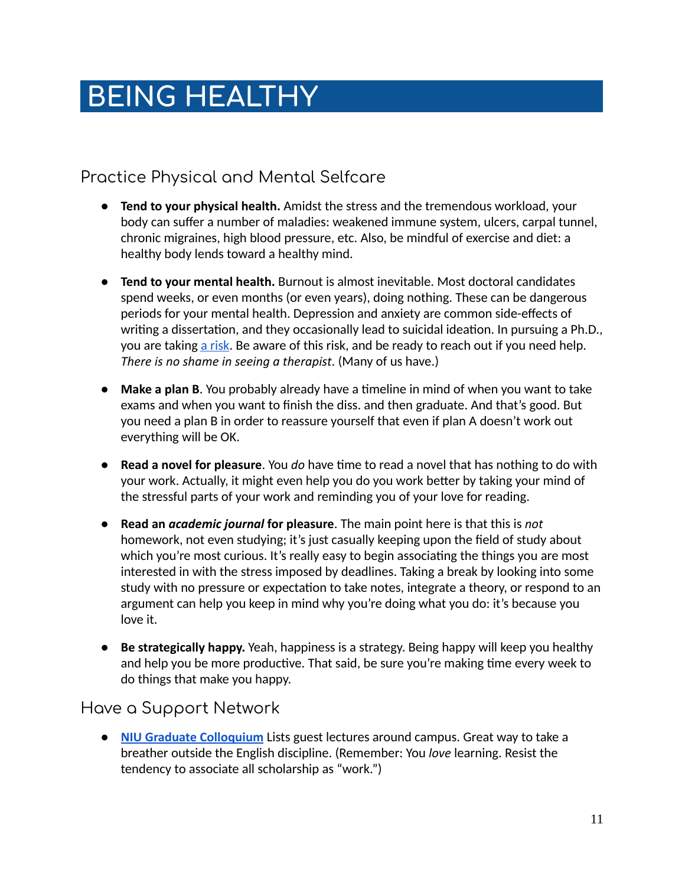# **.BEING HEALTHY ……………………………………..**

### Practice Physical and Mental Selfcare

- **Tend to your physical health.** Amidst the stress and the tremendous workload, your body can suffer a number of maladies: weakened immune system, ulcers, carpal tunnel, chronic migraines, high blood pressure, etc. Also, be mindful of exercise and diet: a healthy body lends toward a healthy mind.
- **Tend to your mental health.** Burnout is almost inevitable. Most doctoral candidates spend weeks, or even months (or even years), doing nothing. These can be dangerous periods for your mental health. Depression and anxiety are common side-effects of writing a dissertation, and they occasionally lead to suicidal ideation. In pursuing a Ph.D., you are taking a risk. Be aware of this risk, and be ready to reach out if you need help. *There is no shame in seeing a therapist* . (Many of us have.)
- **Make a plan B.** You probably already have a timeline in mind of when you want to take exams and when you want to finish the diss. and then graduate. And that's good. But you need a plan B in order to reassure yourself that even if plan A doesn't work out everything will be OK.
- **Read a novel for pleasure**. You *do* have time to read a novel that has nothing to do with your work. Actually, it might even help you do you work better by taking your mind of the stressful parts of your work and reminding you of your love for reading.
- **Read an** *academic journal* **for pleasure** . The main point here is that this is *not* homework, not even studying; it's just casually keeping upon the field of study about which you're most curious. It's really easy to begin associating the things you are most interested in with the stress imposed by deadlines. Taking a break by looking into some study with no pressure or expectation to take notes, integrate a theory, or respond to an argument can help you keep in mind why you're doing what you do: it's because you love it.
- **Be strategically happy.** Yeah, happiness is a strategy. Being happy will keep you healthy and help you be more productive. That said, be sure you're making time every week to do things that make you happy.

#### Have a Support Network

● **[NIU Graduate Colloquium](https://calendar.niu.edu/search/events/1?event_types%5B%5D=119506)** Lists guest lectures around campus. Great way to take a breather outside the English discipline. (Remember: You *love* learning. Resist the tendency to associate all scholarship as "work.")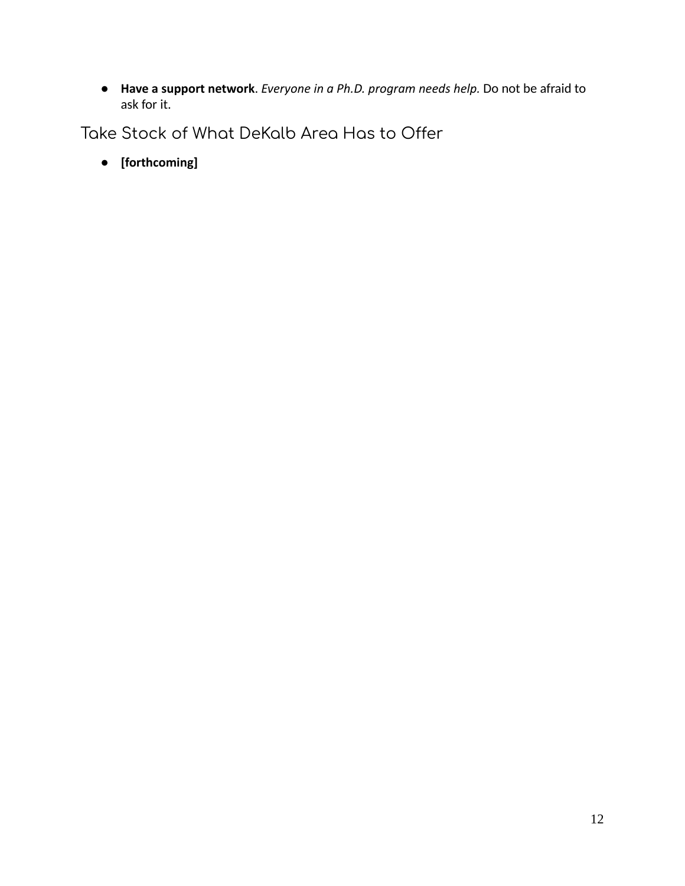● **Have a support network** . *Everyone in a Ph.D. program needs help.* Do not be afraid to ask for it.

Take Stock of What DeKalb Area Has to Offer

● **[forthcoming]**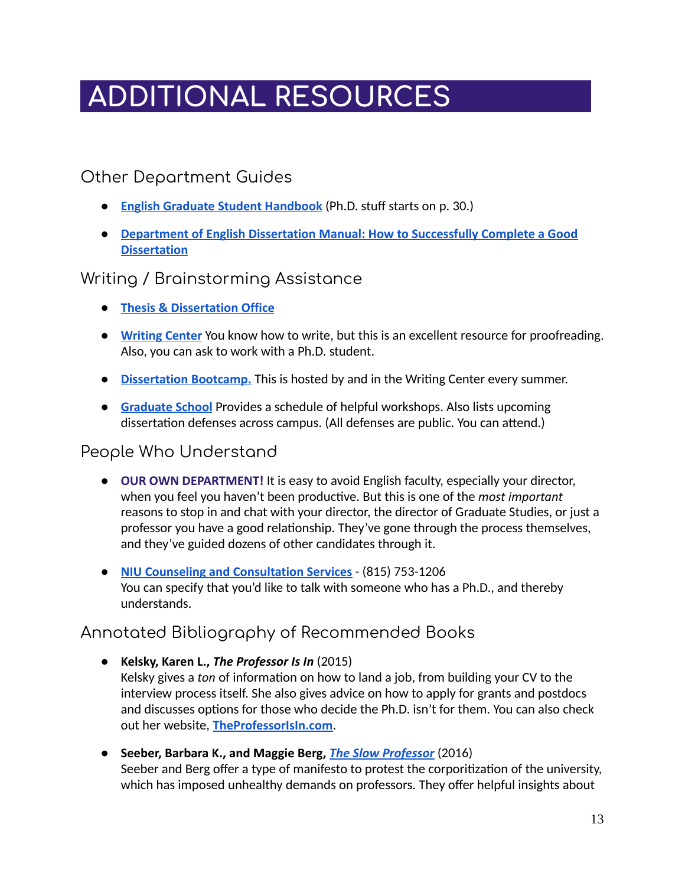# **ADDITIONAL RESOURCES …………………**

#### Other Department Guides

- **[English Graduate Student Handbook](http://www.engl.niu.edu/_pdf/grad-pdfs/15handbook.pdf)** (Ph.D. stuff starts on p. 30.)
- **● [Department of English Dissertation Manual: How to Successfully Complete a Good](http://www.engl.niu.edu/_pdf/grad-pdfs/DISSERTATION-MANUAL.pdf) [Dissertation](http://www.engl.niu.edu/_pdf/grad-pdfs/DISSERTATION-MANUAL.pdf)**

#### Writing / Brainstorming Assistance

- **[Thesis & Dissertation Office](https://www.niu.edu/grad/thesis/index.shtml)**
- **[Writing Center](https://www.niu.edu/uwc/)** You know how to write, but this is an excellent resource for proofreading. Also, you can ask to work with a Ph.D. student.
- **Dissertation Bootcamp.** This is hosted by and in the Writing Center every summer.
- **[Graduate School](https://www.niu.edu/grad/)** Provides a schedule of helpful workshops. Also lists upcoming dissertation defenses across campus. (All defenses are public. You can attend.)

#### People Who Understand

- **OUR OWN DEPARTMENT!** It is easy to avoid English faculty, especially your director, when you feel you haven't been productive. But this is one of the *most important* reasons to stop in and chat with your director, the director of Graduate Studies, or just a professor you have a good relationship. They've gone through the process themselves, and they've guided dozens of other candidates through it.
- **[NIU Counseling and Consultation Services](https://www.niu.edu/counseling/)**  (815) 753-1206 You can specify that you'd like to talk with someone who has a Ph.D., and thereby understands.

#### Annotated Bibliography of Recommended Books

- **Kelsky, Karen L.,** *The Professor Is In* (2015) Kelsky gives a *ton* of information on how to land a job, from building your CV to the interview process itself. She also gives advice on how to apply for grants and postdocs and discusses options for those who decide the Ph.D. isn't for them. You can also check out her website, **[TheProfessorIsIn.com](https://www.niu.edu/counseling/)** .
- **Seeber, Barbara K., and Maggie Berg,** *[The Slow Professor](https://www.npr.org/sections/13.7/2016/05/12/477687350/resisting-the-corporate-university-what-it-means-to-be-a-slow-professor)* (2016) Seeber and Berg offer a type of manifesto to protest the corporitization of the university, which has imposed unhealthy demands on professors. They offer helpful insights about